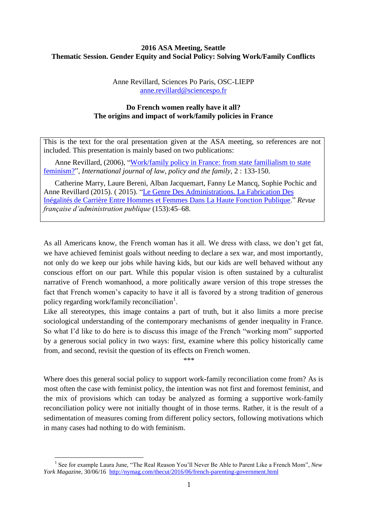## **2016 ASA Meeting, Seattle Thematic Session. Gender Equity and Social Policy: Solving Work/Family Conflicts**

Anne Revillard, Sciences Po Paris, OSC-LIEPP [anne.revillard@sciencespo.fr](mailto:anne.revillard@sciencespo.fr)

## **Do French women really have it all? The origins and impact of work/family policies in France**

This is the text for the oral presentation given at the ASA meeting, so references are not included. This presentation is mainly based on two publications:

Anne Revillard, (2006), ["Work/family policy in France: from state familialism to state](http://lawfam.oxfordjournals.org/content/20/2/133.full)  [feminism?"](http://lawfam.oxfordjournals.org/content/20/2/133.full), *International journal of law, policy and the family*, 2 : 133-150.

Catherine Marry, Laure Bereni, Alban Jacquemart, Fanny Le Mancq, Sophie Pochic and Anne Revillard (2015). ( 2015). ["Le Genre Des Administrations. La Fabrication Des](https://www.cairn.info/revue-francaise-d-administration-publique-2015-1-page-45.htm)  [Inégalités de Carrière Entre Hommes et Femmes Dans La Haute Fonction Publique.](https://www.cairn.info/revue-francaise-d-administration-publique-2015-1-page-45.htm)" *Revue française d'administration publique* (153):45–68.

As all Americans know, the French woman has it all. We dress with class, we don't get fat, we have achieved feminist goals without needing to declare a sex war, and most importantly, not only do we keep our jobs while having kids, but our kids are well behaved without any conscious effort on our part. While this popular vision is often sustained by a culturalist narrative of French womanhood, a more politically aware version of this trope stresses the fact that French women's capacity to have it all is favored by a strong tradition of generous policy regarding work/family reconciliation<sup>1</sup>.

Like all stereotypes, this image contains a part of truth, but it also limits a more precise sociological understanding of the contemporary mechanisms of gender inequality in France. So what I'd like to do here is to discuss this image of the French "working mom" supported by a generous social policy in two ways: first, examine where this policy historically came from, and second, revisit the question of its effects on French women.

\*\*\*

Where does this general social policy to support work-family reconciliation come from? As is most often the case with feminist policy, the intention was not first and foremost feminist, and the mix of provisions which can today be analyzed as forming a supportive work-family reconciliation policy were not initially thought of in those terms. Rather, it is the result of a sedimentation of measures coming from different policy sectors, following motivations which in many cases had nothing to do with feminism.

<u>.</u>

<sup>&</sup>lt;sup>1</sup> See for example Laura June, "The Real Reason You'll Never Be Able to Parent Like a French Mom", New *York Magazin*e, 30/06/16 <http://nymag.com/thecut/2016/06/french-parenting-government.html>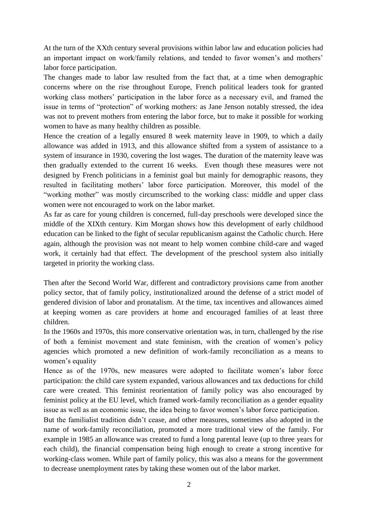At the turn of the XXth century several provisions within labor law and education policies had an important impact on work/family relations, and tended to favor women's and mothers' labor force participation.

The changes made to labor law resulted from the fact that, at a time when demographic concerns where on the rise throughout Europe, French political leaders took for granted working class mothers' participation in the labor force as a necessary evil, and framed the issue in terms of "protection" of working mothers: as Jane Jenson notably stressed, the idea was not to prevent mothers from entering the labor force, but to make it possible for working women to have as many healthy children as possible.

Hence the creation of a legally ensured 8 week maternity leave in 1909, to which a daily allowance was added in 1913, and this allowance shifted from a system of assistance to a system of insurance in 1930, covering the lost wages. The duration of the maternity leave was then gradually extended to the current 16 weeks. Even though these measures were not designed by French politicians in a feminist goal but mainly for demographic reasons, they resulted in facilitating mothers' labor force participation. Moreover, this model of the "working mother" was mostly circumscribed to the working class: middle and upper class women were not encouraged to work on the labor market.

As far as care for young children is concerned, full-day preschools were developed since the middle of the XIXth century. Kim Morgan shows how this development of early childhood education can be linked to the fight of secular republicanism against the Catholic church. Here again, although the provision was not meant to help women combine child-care and waged work, it certainly had that effect. The development of the preschool system also initially targeted in priority the working class.

Then after the Second World War, different and contradictory provisions came from another policy sector, that of family policy, institutionalized around the defense of a strict model of gendered division of labor and pronatalism. At the time, tax incentives and allowances aimed at keeping women as care providers at home and encouraged families of at least three children.

In the 1960s and 1970s, this more conservative orientation was, in turn, challenged by the rise of both a feminist movement and state feminism, with the creation of women's policy agencies which promoted a new definition of work-family reconciliation as a means to women's equality

Hence as of the 1970s, new measures were adopted to facilitate women's labor force participation: the child care system expanded, various allowances and tax deductions for child care were created. This feminist reorientation of family policy was also encouraged by feminist policy at the EU level, which framed work-family reconciliation as a gender equality issue as well as an economic issue, the idea being to favor women's labor force participation.

But the familialist tradition didn't cease, and other measures, sometimes also adopted in the name of work-family reconciliation, promoted a more traditional view of the family. For example in 1985 an allowance was created to fund a long parental leave (up to three years for each child), the financial compensation being high enough to create a strong incentive for working-class women. While part of family policy, this was also a means for the government to decrease unemployment rates by taking these women out of the labor market.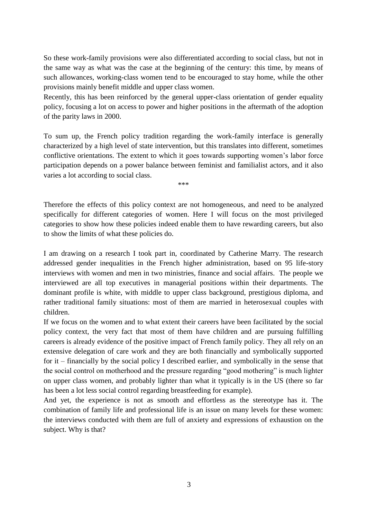So these work-family provisions were also differentiated according to social class, but not in the same way as what was the case at the beginning of the century: this time, by means of such allowances, working-class women tend to be encouraged to stay home, while the other provisions mainly benefit middle and upper class women.

Recently, this has been reinforced by the general upper-class orientation of gender equality policy, focusing a lot on access to power and higher positions in the aftermath of the adoption of the parity laws in 2000.

To sum up, the French policy tradition regarding the work-family interface is generally characterized by a high level of state intervention, but this translates into different, sometimes conflictive orientations. The extent to which it goes towards supporting women's labor force participation depends on a power balance between feminist and familialist actors, and it also varies a lot according to social class.

\*\*\*

Therefore the effects of this policy context are not homogeneous, and need to be analyzed specifically for different categories of women. Here I will focus on the most privileged categories to show how these policies indeed enable them to have rewarding careers, but also to show the limits of what these policies do.

I am drawing on a research I took part in, coordinated by Catherine Marry. The research addressed gender inequalities in the French higher administration, based on 95 life-story interviews with women and men in two ministries, finance and social affairs. The people we interviewed are all top executives in managerial positions within their departments. The dominant profile is white, with middle to upper class background, prestigious diploma, and rather traditional family situations: most of them are married in heterosexual couples with children.

If we focus on the women and to what extent their careers have been facilitated by the social policy context, the very fact that most of them have children and are pursuing fulfilling careers is already evidence of the positive impact of French family policy. They all rely on an extensive delegation of care work and they are both financially and symbolically supported for it – financially by the social policy I described earlier, and symbolically in the sense that the social control on motherhood and the pressure regarding "good mothering" is much lighter on upper class women, and probably lighter than what it typically is in the US (there so far has been a lot less social control regarding breastfeeding for example).

And yet, the experience is not as smooth and effortless as the stereotype has it. The combination of family life and professional life is an issue on many levels for these women: the interviews conducted with them are full of anxiety and expressions of exhaustion on the subject. Why is that?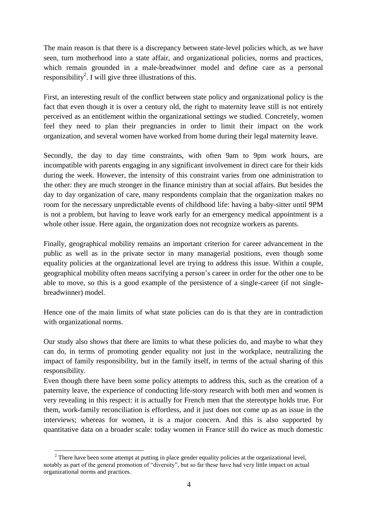The main reason is that there is a discrepancy between state-level policies which, as we have seen, turn motherhood into a state affair, and organizational policies, norms and practices, which remain grounded in a male-breadwinner model and define care as a personal responsibility<sup>2</sup>. I will give three illustrations of this.

First, an interesting result of the conflict between state policy and organizational policy is the fact that even though it is over a century old, the right to maternity leave still is not entirely perceived as an entitlement within the organizational settings we studied. Concretely, women feel they need to plan their pregnancies in order to limit their impact on the work organization, and several women have worked from home during their legal maternity leave.

Secondly, the day to day time constraints, with often 9am to 9pm work hours, are incompatible with parents engaging in any significant involvement in direct care for their kids during the week. However, the intensity of this constraint varies from one administration to the other: they are much stronger in the finance ministry than at social affairs. But besides the day to day organization of care, many respondents complain that the organization makes no room for the necessary unpredictable events of childhood life: having a baby-sitter until 9PM is not a problem, but having to leave work early for an emergency medical appointment is a whole other issue. Here again, the organization does not recognize workers as parents.

Finally, geographical mobility remains an important criterion for career advancement in the public as well as in the private sector in many managerial positions, even though some equality policies at the organizational level are trying to address this issue. Within a couple, geographical mobility often means sacrifying a person's career in order for the other one to be able to move, so this is a good example of the persistence of a single-career (if not singlebreadwinner) model.

Hence one of the main limits of what state policies can do is that they are in contradiction with organizational norms.

Our study also shows that there are limits to what these policies do, and maybe to what they can do, in terms of promoting gender equality not just in the workplace, neutralizing the impact of family responsibility, but in the family itself, in terms of the actual sharing of this responsibility.

Even though there have been some policy attempts to address this, such as the creation of a paternity leave, the experience of conducting life-story research with both men and women is very revealing in this respect: it is actually for French men that the stereotype holds true. For them, work-family reconciliation is effortless, and it just does not come up as an issue in the interviews; whereas for women, it is a major concern. And this is also supported by quantitative data on a broader scale: today women in France still do twice as much domestic

<sup>1</sup> <sup>2</sup> There have been some attempt at putting in place gender equality policies at the organizational level, notably as part of the general promotion of "diversity", but so far these have had very little impact on actual organizational norms and practices.